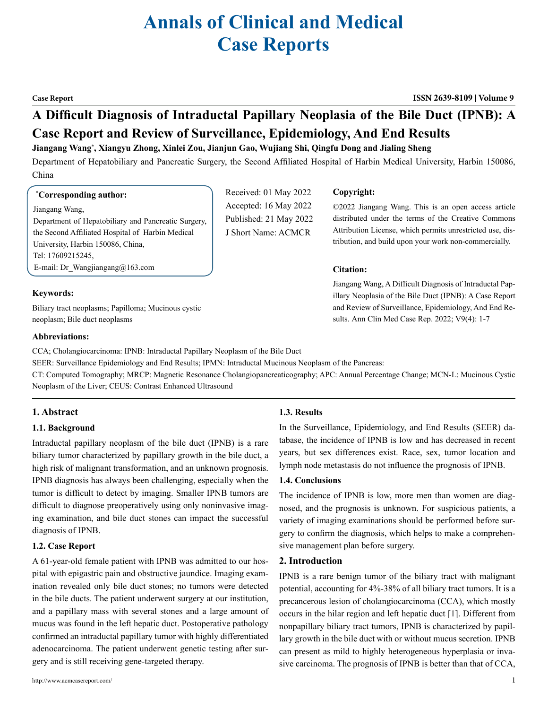# **Annals of Clinical and Medical Case Reports**

**Case Report ISSN 2639-8109 Volume 9**

©2022 Jiangang Wang. This is an open access article distributed under the terms of the Creative Commons Attribution License, which permits unrestricted use, distribution, and build upon your work non-commercially.

Jiangang Wang, A Difficult Diagnosis of Intraductal Papillary Neoplasia of the Bile Duct (IPNB): A Case Report and Review of Surveillance, Epidemiology, And End Results. Ann Clin Med Case Rep. 2022; V9(4): 1-7

## **A Difficult Diagnosis of Intraductal Papillary Neoplasia of the Bile Duct (IPNB): A Case Report and Review of Surveillance, Epidemiology, And End Results**

**Jiangang Wang\* , Xiangyu Zhong, Xinlei Zou, Jianjun Gao, Wujiang Shi, Qingfu Dong and Jialing Sheng**

Department of Hepatobiliary and Pancreatic Surgery, the Second Affiliated Hospital of Harbin Medical University, Harbin 150086, China

**Copyright:**

**Citation:** 

Received: 01 May 2022 Accepted: 16 May 2022 Published: 21 May 2022 J Short Name: ACMCR

#### **\* Corresponding author:**

Jiangang Wang, Department of Hepatobiliary and Pancreatic Surgery, the Second Affiliated Hospital of Harbin Medical University, Harbin 150086, China, Tel: 17609215245, E-mail: [Dr\\_Wangjiangang@163.com](mailto:Dr_Wangjiangang@163.com)

### **Keywords:**

Biliary tract neoplasms; Papilloma; Mucinous cystic neoplasm; Bile duct neoplasms

#### **Abbreviations:**

CCA; Cholangiocarcinoma: IPNB: Intraductal Papillary Neoplasm of the Bile Duct

SEER: Surveillance Epidemiology and End Results; IPMN: Intraductal Mucinous Neoplasm of the Pancreas:

CT: Computed Tomography; MRCP: Magnetic Resonance Cholangiopancreaticography; APC: Annual Percentage Change; MCN-L: Mucinous Cystic Neoplasm of the Liver; CEUS: Contrast Enhanced Ultrasound

### **1. Abstract**

#### **1.1. Background**

Intraductal papillary neoplasm of the bile duct (IPNB) is a rare biliary tumor characterized by papillary growth in the bile duct, a high risk of malignant transformation, and an unknown prognosis. IPNB diagnosis has always been challenging, especially when the tumor is difficult to detect by imaging. Smaller IPNB tumors are difficult to diagnose preoperatively using only noninvasive imaging examination, and bile duct stones can impact the successful diagnosis of IPNB.

#### **1.2. Case Report**

A 61-year-old female patient with IPNB was admitted to our hospital with epigastric pain and obstructive jaundice. Imaging examination revealed only bile duct stones; no tumors were detected in the bile ducts. The patient underwent surgery at our institution, and a papillary mass with several stones and a large amount of mucus was found in the left hepatic duct. Postoperative pathology confirmed an intraductal papillary tumor with highly differentiated adenocarcinoma. The patient underwent genetic testing after surgery and is still receiving gene-targeted therapy.

#### **1.3. Results**

In the Surveillance, Epidemiology, and End Results (SEER) database, the incidence of IPNB is low and has decreased in recent years, but sex differences exist. Race, sex, tumor location and lymph node metastasis do not influence the prognosis of IPNB.

#### **1.4. Conclusions**

The incidence of IPNB is low, more men than women are diagnosed, and the prognosis is unknown. For suspicious patients, a variety of imaging examinations should be performed before surgery to confirm the diagnosis, which helps to make a comprehensive management plan before surgery.

#### **2. Introduction**

IPNB is a rare benign tumor of the biliary tract with malignant potential, accounting for 4%-38% of all biliary tract tumors. It is a precancerous lesion of cholangiocarcinoma (CCA), which mostly occurs in the hilar region and left hepatic duct [1]. Different from nonpapillary biliary tract tumors, IPNB is characterized by papillary growth in the bile duct with or without mucus secretion. IPNB can present as mild to highly heterogeneous hyperplasia or invasive carcinoma. The prognosis of IPNB is better than that of CCA,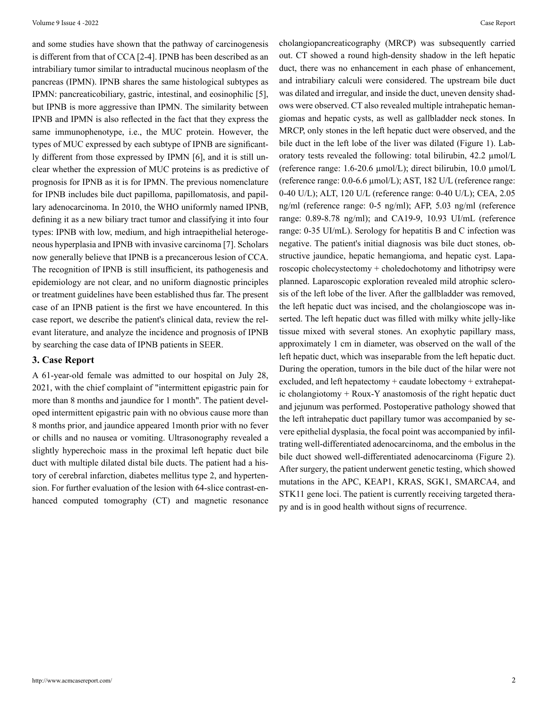and some studies have shown that the pathway of carcinogenesis is different from that of CCA [2-4]. IPNB has been described as an intrabiliary tumor similar to intraductal mucinous neoplasm of the pancreas (IPMN). IPNB shares the same histological subtypes as IPMN: pancreaticobiliary, gastric, intestinal, and eosinophilic [5], but IPNB is more aggressive than IPMN. The similarity between IPNB and IPMN is also reflected in the fact that they express the same immunophenotype, i.e., the MUC protein. However, the types of MUC expressed by each subtype of IPNB are significantly different from those expressed by IPMN [6], and it is still unclear whether the expression of MUC proteins is as predictive of prognosis for IPNB as it is for IPMN. The previous nomenclature for IPNB includes bile duct papilloma, papillomatosis, and papillary adenocarcinoma. In 2010, the WHO uniformly named IPNB, defining it as a new biliary tract tumor and classifying it into four types: IPNB with low, medium, and high intraepithelial heterogeneous hyperplasia and IPNB with invasive carcinoma [7]. Scholars now generally believe that IPNB is a precancerous lesion of CCA. The recognition of IPNB is still insufficient, its pathogenesis and epidemiology are not clear, and no uniform diagnostic principles or treatment guidelines have been established thus far. The present case of an IPNB patient is the first we have encountered. In this case report, we describe the patient's clinical data, review the relevant literature, and analyze the incidence and prognosis of IPNB by searching the case data of IPNB patients in SEER.

#### **3. Case Report**

A 61-year-old female was admitted to our hospital on July 28, 2021, with the chief complaint of "intermittent epigastric pain for more than 8 months and jaundice for 1 month". The patient developed intermittent epigastric pain with no obvious cause more than 8 months prior, and jaundice appeared 1month prior with no fever or chills and no nausea or vomiting. Ultrasonography revealed a slightly hyperechoic mass in the proximal left hepatic duct bile duct with multiple dilated distal bile ducts. The patient had a history of cerebral infarction, diabetes mellitus type 2, and hypertension. For further evaluation of the lesion with 64-slice contrast-enhanced computed tomography (CT) and magnetic resonance

cholangiopancreaticography (MRCP) was subsequently carried out. CT showed a round high-density shadow in the left hepatic duct, there was no enhancement in each phase of enhancement, and intrabiliary calculi were considered. The upstream bile duct was dilated and irregular, and inside the duct, uneven density shadows were observed. CT also revealed multiple intrahepatic hemangiomas and hepatic cysts, as well as gallbladder neck stones. In MRCP, only stones in the left hepatic duct were observed, and the bile duct in the left lobe of the liver was dilated (Figure 1). Laboratory tests revealed the following: total bilirubin, 42.2 µmol/L (reference range: 1.6-20.6 µmol/L); direct bilirubin, 10.0 µmol/L (reference range: 0.0-6.6 µmol/L); AST, 182 U/L (reference range: 0-40 U/L); ALT, 120 U/L (reference range: 0-40 U/L); CEA, 2.05 ng/ml (reference range: 0-5 ng/ml); AFP, 5.03 ng/ml (reference range: 0.89-8.78 ng/ml); and CA19-9, 10.93 UI/mL (reference range: 0-35 UI/mL). Serology for hepatitis B and C infection was negative. The patient's initial diagnosis was bile duct stones, obstructive jaundice, hepatic hemangioma, and hepatic cyst. Laparoscopic cholecystectomy + choledochotomy and lithotripsy were planned. Laparoscopic exploration revealed mild atrophic sclerosis of the left lobe of the liver. After the gallbladder was removed, the left hepatic duct was incised, and the cholangioscope was inserted. The left hepatic duct was filled with milky white jelly-like tissue mixed with several stones. An exophytic papillary mass, approximately 1 cm in diameter, was observed on the wall of the left hepatic duct, which was inseparable from the left hepatic duct. During the operation, tumors in the bile duct of the hilar were not excluded, and left hepatectomy + caudate lobectomy + extrahepatic cholangiotomy + Roux-Y anastomosis of the right hepatic duct and jejunum was performed. Postoperative pathology showed that the left intrahepatic duct papillary tumor was accompanied by severe epithelial dysplasia, the focal point was accompanied by infiltrating well-differentiated adenocarcinoma, and the embolus in the bile duct showed well-differentiated adenocarcinoma (Figure 2). After surgery, the patient underwent genetic testing, which showed mutations in the APC, KEAP1, KRAS, SGK1, SMARCA4, and STK11 gene loci. The patient is currently receiving targeted therapy and is in good health without signs of recurrence.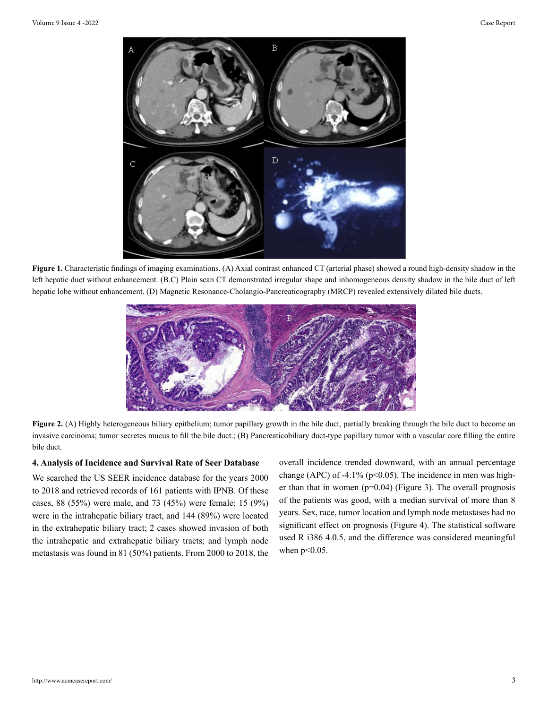

**Figure 1.** Characteristic findings of imaging examinations. (A) Axial contrast enhanced CT (arterial phase) showed a round high-density shadow in the left hepatic duct without enhancement. (B.C) Plain scan CT demonstrated irregular shape and inhomogeneous density shadow in the bile duct of left hepatic lobe without enhancement. (D) Magnetic Resonance-Cholangio-Pancreaticography (MRCP) revealed extensively dilated bile ducts.



Figure 2. (A) Highly heterogeneous biliary epithelium; tumor papillary growth in the bile duct, partially breaking through the bile duct to become an invasive carcinoma; tumor secretes mucus to fill the bile duct.; (B) Pancreaticobiliary duct-type papillary tumor with a vascular core filling the entire bile duct.

#### **4. Analysis of Incidence and Survival Rate of Seer Database**

We searched the US SEER incidence database for the years 2000 to 2018 and retrieved records of 161 patients with IPNB. Of these cases, 88 (55%) were male, and 73 (45%) were female; 15 (9%) were in the intrahepatic biliary tract, and 144 (89%) were located in the extrahepatic biliary tract; 2 cases showed invasion of both the intrahepatic and extrahepatic biliary tracts; and lymph node metastasis was found in 81 (50%) patients. From 2000 to 2018, the

overall incidence trended downward, with an annual percentage change (APC) of -4.1% ( $p$ <0.05). The incidence in men was higher than that in women (p=0.04) (Figure 3). The overall prognosis of the patients was good, with a median survival of more than 8 years. Sex, race, tumor location and lymph node metastases had no significant effect on prognosis (Figure 4). The statistical software used R i386 4.0.5, and the difference was considered meaningful when  $p<0.05$ .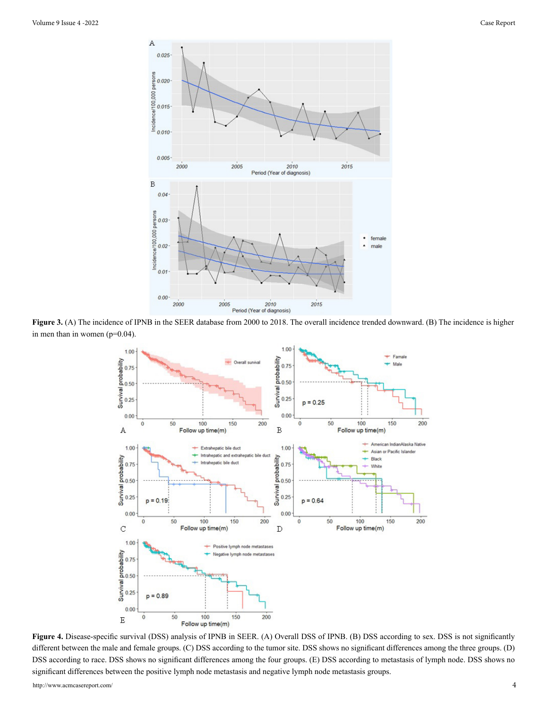

**Figure 3.** (A) The incidence of IPNB in the SEER database from 2000 to 2018. The overall incidence trended downward. (B) The incidence is higher in men than in women (p=0.04).



**Figure 4.** Disease-specific survival (DSS) analysis of IPNB in SEER. (A) Overall DSS of IPNB. (B) DSS according to sex. DSS is not significantly different between the male and female groups. (C) DSS according to the tumor site. DSS shows no significant differences among the three groups. (D) DSS according to race. DSS shows no significant differences among the four groups. (E) DSS according to metastasis of lymph node. DSS shows no significant differences between the positive lymph node metastasis and negative lymph node metastasis groups.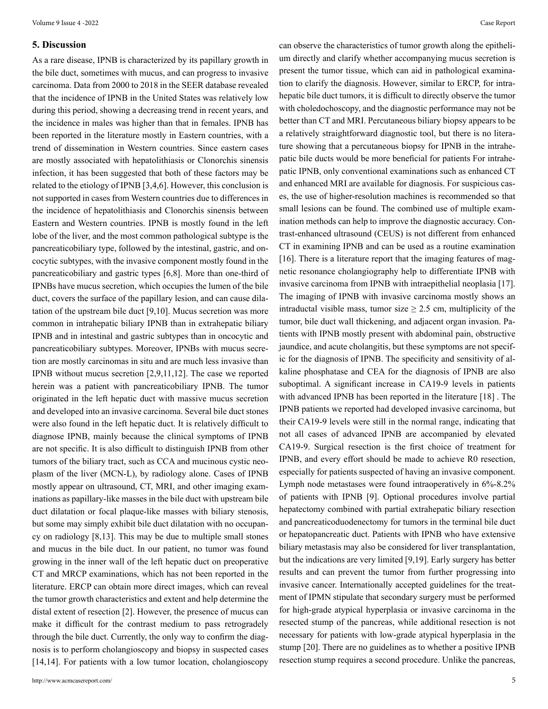#### **5. Discussion**

As a rare disease, IPNB is characterized by its papillary growth in the bile duct, sometimes with mucus, and can progress to invasive carcinoma. Data from 2000 to 2018 in the SEER database revealed that the incidence of IPNB in the United States was relatively low during this period, showing a decreasing trend in recent years, and the incidence in males was higher than that in females. IPNB has been reported in the literature mostly in Eastern countries, with a trend of dissemination in Western countries. Since eastern cases are mostly associated with hepatolithiasis or Clonorchis sinensis infection, it has been suggested that both of these factors may be related to the etiology of IPNB [3,4,6]. However, this conclusion is not supported in cases from Western countries due to differences in the incidence of hepatolithiasis and Clonorchis sinensis between Eastern and Western countries. IPNB is mostly found in the left lobe of the liver, and the most common pathological subtype is the pancreaticobiliary type, followed by the intestinal, gastric, and oncocytic subtypes, with the invasive component mostly found in the pancreaticobiliary and gastric types [6,8]. More than one-third of IPNBs have mucus secretion, which occupies the lumen of the bile duct, covers the surface of the papillary lesion, and can cause dilatation of the upstream bile duct [9,10]. Mucus secretion was more common in intrahepatic biliary IPNB than in extrahepatic biliary IPNB and in intestinal and gastric subtypes than in oncocytic and pancreaticobiliary subtypes. Moreover, IPNBs with mucus secretion are mostly carcinomas in situ and are much less invasive than IPNB without mucus secretion [2,9,11,12]. The case we reported herein was a patient with pancreaticobiliary IPNB. The tumor originated in the left hepatic duct with massive mucus secretion and developed into an invasive carcinoma. Several bile duct stones were also found in the left hepatic duct. It is relatively difficult to diagnose IPNB, mainly because the clinical symptoms of IPNB are not specific. It is also difficult to distinguish IPNB from other tumors of the biliary tract, such as CCA and mucinous cystic neoplasm of the liver (MCN-L), by radiology alone. Cases of IPNB mostly appear on ultrasound, CT, MRI, and other imaging examinations as papillary-like masses in the bile duct with upstream bile duct dilatation or focal plaque-like masses with biliary stenosis, but some may simply exhibit bile duct dilatation with no occupancy on radiology [8,13]. This may be due to multiple small stones and mucus in the bile duct. In our patient, no tumor was found growing in the inner wall of the left hepatic duct on preoperative CT and MRCP examinations, which has not been reported in the literature. ERCP can obtain more direct images, which can reveal the tumor growth characteristics and extent and help determine the distal extent of resection [2]. However, the presence of mucus can make it difficult for the contrast medium to pass retrogradely through the bile duct. Currently, the only way to confirm the diagnosis is to perform cholangioscopy and biopsy in suspected cases [14,14]. For patients with a low tumor location, cholangioscopy

can observe the characteristics of tumor growth along the epithelium directly and clarify whether accompanying mucus secretion is present the tumor tissue, which can aid in pathological examination to clarify the diagnosis. However, similar to ERCP, for intrahepatic bile duct tumors, it is difficult to directly observe the tumor with choledochoscopy, and the diagnostic performance may not be better than CT and MRI. Percutaneous biliary biopsy appears to be a relatively straightforward diagnostic tool, but there is no literature showing that a percutaneous biopsy for IPNB in the intrahepatic bile ducts would be more beneficial for patients For intrahepatic IPNB, only conventional examinations such as enhanced CT and enhanced MRI are available for diagnosis. For suspicious cases, the use of higher-resolution machines is recommended so that small lesions can be found. The combined use of multiple examination methods can help to improve the diagnostic accuracy. Contrast-enhanced ultrasound (CEUS) is not different from enhanced CT in examining IPNB and can be used as a routine examination [16]. There is a literature report that the imaging features of magnetic resonance cholangiography help to differentiate IPNB with invasive carcinoma from IPNB with intraepithelial neoplasia [17]. The imaging of IPNB with invasive carcinoma mostly shows an intraductal visible mass, tumor size  $\geq$  2.5 cm, multiplicity of the tumor, bile duct wall thickening, and adjacent organ invasion. Patients with IPNB mostly present with abdominal pain, obstructive jaundice, and acute cholangitis, but these symptoms are not specific for the diagnosis of IPNB. The specificity and sensitivity of alkaline phosphatase and CEA for the diagnosis of IPNB are also suboptimal. A significant increase in CA19-9 levels in patients with advanced IPNB has been reported in the literature [18] . The IPNB patients we reported had developed invasive carcinoma, but their CA19-9 levels were still in the normal range, indicating that not all cases of advanced IPNB are accompanied by elevated CA19-9. Surgical resection is the first choice of treatment for IPNB, and every effort should be made to achieve R0 resection, especially for patients suspected of having an invasive component. Lymph node metastases were found intraoperatively in 6%-8.2% of patients with IPNB [9]. Optional procedures involve partial hepatectomy combined with partial extrahepatic biliary resection and pancreaticoduodenectomy for tumors in the terminal bile duct or hepatopancreatic duct. Patients with IPNB who have extensive biliary metastasis may also be considered for liver transplantation, but the indications are very limited [9,19]. Early surgery has better results and can prevent the tumor from further progressing into invasive cancer. Internationally accepted guidelines for the treatment of IPMN stipulate that secondary surgery must be performed for high-grade atypical hyperplasia or invasive carcinoma in the resected stump of the pancreas, while additional resection is not necessary for patients with low-grade atypical hyperplasia in the stump [20]. There are no guidelines as to whether a positive IPNB resection stump requires a second procedure. Unlike the pancreas,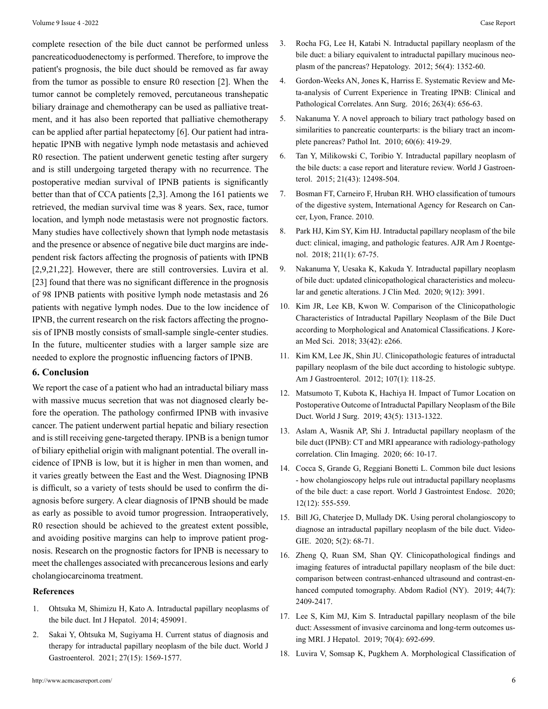complete resection of the bile duct cannot be performed unless pancreaticoduodenectomy is performed. Therefore, to improve the patient's prognosis, the bile duct should be removed as far away from the tumor as possible to ensure R0 resection [2]. When the tumor cannot be completely removed, percutaneous transhepatic biliary drainage and chemotherapy can be used as palliative treatment, and it has also been reported that palliative chemotherapy can be applied after partial hepatectomy [6]. Our patient had intrahepatic IPNB with negative lymph node metastasis and achieved R0 resection. The patient underwent genetic testing after surgery and is still undergoing targeted therapy with no recurrence. The postoperative median survival of IPNB patients is significantly better than that of CCA patients [2,3]. Among the 161 patients we retrieved, the median survival time was 8 years. Sex, race, tumor location, and lymph node metastasis were not prognostic factors. Many studies have collectively shown that lymph node metastasis and the presence or absence of negative bile duct margins are independent risk factors affecting the prognosis of patients with IPNB [2,9,21,22]. However, there are still controversies. Luvira et al. [23] found that there was no significant difference in the prognosis of 98 IPNB patients with positive lymph node metastasis and 26 patients with negative lymph nodes. Due to the low incidence of IPNB, the current research on the risk factors affecting the prognosis of IPNB mostly consists of small-sample single-center studies. In the future, multicenter studies with a larger sample size are needed to explore the prognostic influencing factors of IPNB.

#### **6. Conclusion**

We report the case of a patient who had an intraductal biliary mass with massive mucus secretion that was not diagnosed clearly before the operation. The pathology confirmed IPNB with invasive cancer. The patient underwent partial hepatic and biliary resection and is still receiving gene-targeted therapy. IPNB is a benign tumor of biliary epithelial origin with malignant potential. The overall incidence of IPNB is low, but it is higher in men than women, and it varies greatly between the East and the West. Diagnosing IPNB is difficult, so a variety of tests should be used to confirm the diagnosis before surgery. A clear diagnosis of IPNB should be made as early as possible to avoid tumor progression. Intraoperatively, R0 resection should be achieved to the greatest extent possible, and avoiding positive margins can help to improve patient prognosis. Research on the prognostic factors for IPNB is necessary to meet the challenges associated with precancerous lesions and early cholangiocarcinoma treatment.

#### **References**

- 1. [Ohtsuka M, Shimizu H, Kato A. Intraductal papillary neoplasms](https://pubmed.ncbi.nlm.nih.gov/24949206/) of [the bile duct. Int J Hepatol. 2014; 459091.](https://pubmed.ncbi.nlm.nih.gov/24949206/)
- 2. [Sakai Y, Ohtsuka M, Sugiyama H. Current status of diagnosis and](https://www.ncbi.nlm.nih.gov/pmc/articles/PMC8058653/) [therapy for intraductal papillary neoplasm of the bile duct. World J](https://www.ncbi.nlm.nih.gov/pmc/articles/PMC8058653/)  [Gastroenterol. 2021; 27\(15\): 1569-1577.](https://www.ncbi.nlm.nih.gov/pmc/articles/PMC8058653/)
- 3. [Rocha FG, Lee H, Katabi N. Intraductal papillary neoplasm of the](https://pubmed.ncbi.nlm.nih.gov/22504729/) [bile duct: a biliary equivalent to intraductal papillary mucinous neo](https://pubmed.ncbi.nlm.nih.gov/22504729/)[plasm of the pancreas? Hepatology. 2012; 56\(4\): 1352-60.](https://pubmed.ncbi.nlm.nih.gov/22504729/)
- 4. [Gordon-Weeks AN, Jones K, Harriss E. Systematic Review and Me](https://pubmed.ncbi.nlm.nih.gov/26501712/)[ta-analysis of Current Experience in Treating IPNB: Clinical and](https://pubmed.ncbi.nlm.nih.gov/26501712/) [Pathological Correlates. Ann Surg. 2016; 263\(4\): 656-63.](https://pubmed.ncbi.nlm.nih.gov/26501712/)
- 5. [Nakanuma Y. A novel approach to biliary tract pathology based on](https://pubmed.ncbi.nlm.nih.gov/20518896/) [similarities to pancreatic counterparts: is the biliary tract an incom](https://pubmed.ncbi.nlm.nih.gov/20518896/)[plete pancreas? Pathol Int. 2010; 60\(6\): 419-29.](https://pubmed.ncbi.nlm.nih.gov/20518896/)
- 6. [Tan Y, Milikowski C, Toribio Y. Intraductal papillary neoplasm of](https://pubmed.ncbi.nlm.nih.gov/26604656/) [the bile ducts: a case report and literature review. World J Gastroen](https://pubmed.ncbi.nlm.nih.gov/26604656/)[terol. 2015; 21\(43\): 12498-504.](https://pubmed.ncbi.nlm.nih.gov/26604656/)
- 7. [Bosman FT, Carneiro F, Hruban RH. WHO classification of tumours](https://pubmed.ncbi.nlm.nih.gov/31433515/)  [of the digestive system, International Agency for Research on Can](https://pubmed.ncbi.nlm.nih.gov/31433515/)[cer, Lyon, France. 2010.](https://pubmed.ncbi.nlm.nih.gov/31433515/)
- 8. [Park HJ, Kim SY, Kim HJ. Intraductal papillary neoplasm of the bile](https://pubmed.ncbi.nlm.nih.gov/29629808/) [duct: clinical, imaging, and pathologic features. AJR Am J Roentge](https://pubmed.ncbi.nlm.nih.gov/29629808/)[nol. 2018; 211\(1\): 67-75.](https://pubmed.ncbi.nlm.nih.gov/29629808/)
- 9. [Nakanuma Y, Uesaka K, Kakuda Y. Intraductal papillary neoplasm](https://www.ncbi.nlm.nih.gov/pmc/articles/PMC7763595/) [of bile duct: updated clinicopathological characteristics and molecu](https://www.ncbi.nlm.nih.gov/pmc/articles/PMC7763595/)[lar and genetic alterations. J Clin Med. 2020; 9\(12\): 3991.](https://www.ncbi.nlm.nih.gov/pmc/articles/PMC7763595/)
- 10. [Kim JR, Lee KB, Kwon W. Comparison of the Clinicopathologic](https://www.ncbi.nlm.nih.gov/pmc/articles/PMC6179985/) [Characteristics of Intraductal Papillary Neoplasm of the Bile Duct](https://www.ncbi.nlm.nih.gov/pmc/articles/PMC6179985/) [according to Morphological and Anatomical Classifications. J Kore](https://www.ncbi.nlm.nih.gov/pmc/articles/PMC6179985/)[an Med Sci. 2018; 33\(42\): e266.](https://www.ncbi.nlm.nih.gov/pmc/articles/PMC6179985/)
- 11. [Kim KM, Lee JK, Shin JU. Clinicopathologic features of intraductal](https://pubmed.ncbi.nlm.nih.gov/21946282/) [papillary neoplasm of the bile duct according to histologic subtype.](https://pubmed.ncbi.nlm.nih.gov/21946282/) [Am J Gastroenterol. 2012; 107\(1\): 118-25.](https://pubmed.ncbi.nlm.nih.gov/21946282/)
- 12. [Matsumoto T, Kubota K, Hachiya H. Impact of Tumor Location on](https://pubmed.ncbi.nlm.nih.gov/30659344/)  [Postoperative Outcome of Intraductal Papillary Neoplasm of the Bile](https://pubmed.ncbi.nlm.nih.gov/30659344/) [Duct. World J Surg. 2019; 43\(5\): 1313-1322.](https://pubmed.ncbi.nlm.nih.gov/30659344/)
- 13. [Aslam A, Wasnik AP, Shi J. Intraductal papillary neoplasm of the](https://pubmed.ncbi.nlm.nih.gov/32438236/) [bile duct \(IPNB\): CT and MRI appearance with radiology-pathology](https://pubmed.ncbi.nlm.nih.gov/32438236/) [correlation. Clin Imaging. 2020; 66: 10-17.](https://pubmed.ncbi.nlm.nih.gov/32438236/)
- 14. [Cocca S, Grande G, Reggiani Bonetti L. Common bile duct lesions](https://www.ncbi.nlm.nih.gov/pmc/articles/PMC7739144/) [- how cholangioscopy helps rule out intraductal papillary neoplasms](https://www.ncbi.nlm.nih.gov/pmc/articles/PMC7739144/) [of the bile duct: a case report. World J Gastrointest Endosc. 2020;](https://www.ncbi.nlm.nih.gov/pmc/articles/PMC7739144/) [12\(12\): 555-559.](https://www.ncbi.nlm.nih.gov/pmc/articles/PMC7739144/)
- 15. [Bill JG, Chaterjee D, Mullady DK. Using peroral cholangioscopy to](https://www.ncbi.nlm.nih.gov/pmc/articles/PMC7003199/) [diagnose an intraductal papillary neoplasm of the bile duct. Video](https://www.ncbi.nlm.nih.gov/pmc/articles/PMC7003199/)-[GIE. 2020; 5\(2\): 68-71.](https://www.ncbi.nlm.nih.gov/pmc/articles/PMC7003199/)
- 16. [Zheng Q, Ruan SM, Shan QY. Clinicopathological findings and](https://pubmed.ncbi.nlm.nih.gov/31093728/) [imaging features of intraductal papillary neoplasm of the bile duct:](https://pubmed.ncbi.nlm.nih.gov/31093728/) [comparison between contrast-enhanced ultrasound and contrast-en](https://pubmed.ncbi.nlm.nih.gov/31093728/)[hanced computed tomography. Abdom Radiol \(NY\). 2019; 44\(7\):](https://pubmed.ncbi.nlm.nih.gov/31093728/)  [2409-2417.](https://pubmed.ncbi.nlm.nih.gov/31093728/)
- 17. [Lee S, Kim MJ, Kim S. Intraductal papillary neoplasm of the bile](https://pubmed.ncbi.nlm.nih.gov/30553839/) [duct: Assessment of invasive carcinoma and long-term outcomes us](https://pubmed.ncbi.nlm.nih.gov/30553839/)[ing MRI. J Hepatol. 2019; 70\(4\): 692-699.](https://pubmed.ncbi.nlm.nih.gov/30553839/)
- 18. [Luvira V, Somsap K, Pugkhem A. Morphological Classification of](https://www.ncbi.nlm.nih.gov/pmc/articles/PMC5563102/)